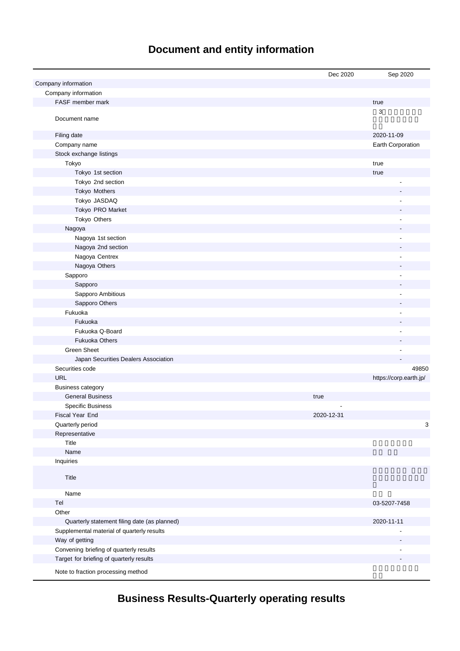# **Document and entity information**

|                                              | Dec 2020   | Sep 2020                 |
|----------------------------------------------|------------|--------------------------|
| Company information                          |            |                          |
| Company information                          |            |                          |
| FASF member mark                             |            | true                     |
| Document name                                |            | 3                        |
| Filing date                                  |            | 2020-11-09               |
| Company name                                 |            | Earth Corporation        |
| Stock exchange listings                      |            |                          |
| Tokyo                                        |            | true                     |
| Tokyo 1st section                            |            | true                     |
| Tokyo 2nd section                            |            |                          |
| Tokyo Mothers                                |            |                          |
| Tokyo JASDAQ                                 |            |                          |
| Tokyo PRO Market                             |            |                          |
| Tokyo Others                                 |            |                          |
| Nagoya                                       |            |                          |
| Nagoya 1st section                           |            | Ĭ.                       |
| Nagoya 2nd section                           |            |                          |
| Nagoya Centrex                               |            | Ĭ.                       |
| Nagoya Others                                |            |                          |
| Sapporo                                      |            | Ĭ.                       |
| Sapporo                                      |            |                          |
| Sapporo Ambitious                            |            |                          |
| Sapporo Others                               |            |                          |
| Fukuoka                                      |            |                          |
| Fukuoka                                      |            |                          |
| Fukuoka Q-Board                              |            | Ĭ.                       |
| <b>Fukuoka Others</b>                        |            |                          |
| <b>Green Sheet</b>                           |            |                          |
| Japan Securities Dealers Association         |            |                          |
| Securities code                              |            | 49850                    |
| <b>URL</b>                                   |            | https://corp.earth.jp/   |
| <b>Business category</b>                     |            |                          |
| <b>General Business</b>                      | true       |                          |
| <b>Specific Business</b>                     |            |                          |
| Fiscal Year End                              | 2020-12-31 |                          |
| Quarterly period                             |            | 3                        |
| Representative                               |            |                          |
| Title                                        |            |                          |
| Name                                         |            |                          |
| Inquiries                                    |            |                          |
| Title                                        |            |                          |
| Name                                         |            |                          |
| Tel                                          |            | 03-5207-7458             |
| Other                                        |            |                          |
| Quarterly statement filing date (as planned) |            | 2020-11-11               |
| Supplemental material of quarterly results   |            | $\overline{\phantom{a}}$ |
| Way of getting                               |            |                          |
| Convening briefing of quarterly results      |            |                          |
| Target for briefing of quarterly results     |            |                          |
| Note to fraction processing method           |            |                          |

# **Business Results-Quarterly operating results**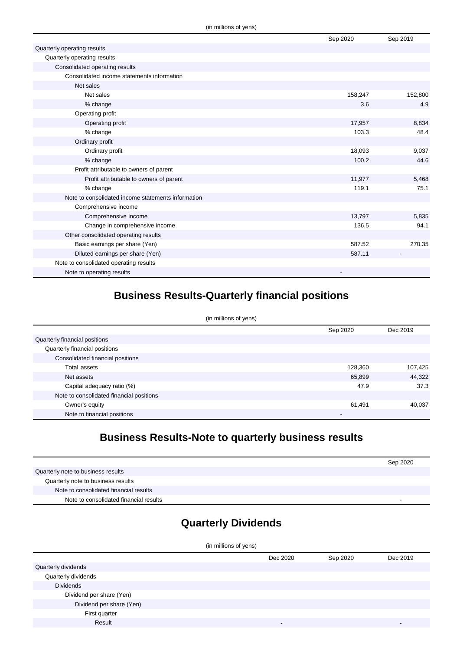|                                                    | Sep 2020 | Sep 2019 |
|----------------------------------------------------|----------|----------|
| Quarterly operating results                        |          |          |
| Quarterly operating results                        |          |          |
| Consolidated operating results                     |          |          |
| Consolidated income statements information         |          |          |
| Net sales                                          |          |          |
| Net sales                                          | 158,247  | 152,800  |
| % change                                           | 3.6      | 4.9      |
| Operating profit                                   |          |          |
| Operating profit                                   | 17,957   | 8,834    |
| % change                                           | 103.3    | 48.4     |
| Ordinary profit                                    |          |          |
| Ordinary profit                                    | 18,093   | 9,037    |
| % change                                           | 100.2    | 44.6     |
| Profit attributable to owners of parent            |          |          |
| Profit attributable to owners of parent            | 11,977   | 5,468    |
| % change                                           | 119.1    | 75.1     |
| Note to consolidated income statements information |          |          |
| Comprehensive income                               |          |          |
| Comprehensive income                               | 13,797   | 5,835    |
| Change in comprehensive income                     | 136.5    | 94.1     |
| Other consolidated operating results               |          |          |
| Basic earnings per share (Yen)                     | 587.52   | 270.35   |
| Diluted earnings per share (Yen)                   | 587.11   |          |
| Note to consolidated operating results             |          |          |
| Note to operating results                          |          |          |

### **Business Results-Quarterly financial positions**

| (in millions of yens)                    |          |          |
|------------------------------------------|----------|----------|
|                                          | Sep 2020 | Dec 2019 |
| Quarterly financial positions            |          |          |
| Quarterly financial positions            |          |          |
| Consolidated financial positions         |          |          |
| Total assets                             | 128,360  | 107,425  |
| Net assets                               | 65,899   | 44,322   |
| Capital adequacy ratio (%)               | 47.9     | 37.3     |
| Note to consolidated financial positions |          |          |
| Owner's equity                           | 61,491   | 40,037   |
| Note to financial positions              | -        |          |

### **Business Results-Note to quarterly business results**

|                                        | Sep 2020                 |
|----------------------------------------|--------------------------|
| Quarterly note to business results     |                          |
| Quarterly note to business results     |                          |
| Note to consolidated financial results |                          |
| Note to consolidated financial results | $\overline{\phantom{0}}$ |

## **Quarterly Dividends**

| (in millions of yens)    |          |          |          |
|--------------------------|----------|----------|----------|
|                          | Dec 2020 | Sep 2020 | Dec 2019 |
| Quarterly dividends      |          |          |          |
| Quarterly dividends      |          |          |          |
| <b>Dividends</b>         |          |          |          |
| Dividend per share (Yen) |          |          |          |
| Dividend per share (Yen) |          |          |          |
| First quarter            |          |          |          |
| Result                   | -        |          |          |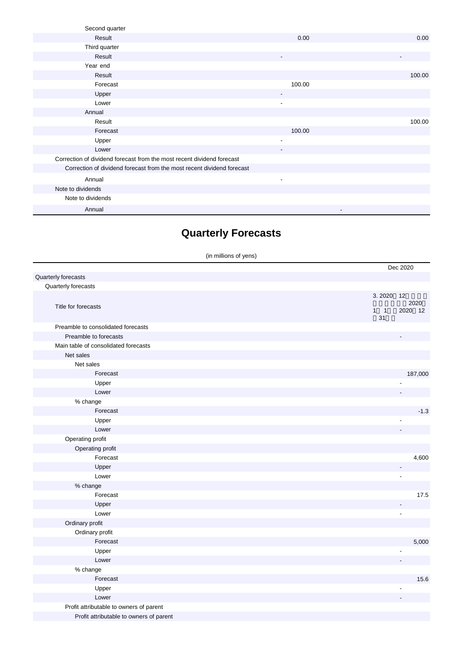| Second quarter                                                         |                          |        |
|------------------------------------------------------------------------|--------------------------|--------|
| Result                                                                 | 0.00                     | 0.00   |
| Third quarter                                                          |                          |        |
| Result                                                                 | $\overline{\phantom{a}}$ |        |
| Year end                                                               |                          |        |
| Result                                                                 |                          | 100.00 |
| Forecast                                                               | 100.00                   |        |
| Upper                                                                  |                          |        |
| Lower                                                                  | ٠                        |        |
| Annual                                                                 |                          |        |
| Result                                                                 |                          | 100.00 |
| Forecast                                                               | 100.00                   |        |
| Upper                                                                  | $\blacksquare$           |        |
| Lower                                                                  | $\overline{\phantom{a}}$ |        |
| Correction of dividend forecast from the most recent dividend forecast |                          |        |
| Correction of dividend forecast from the most recent dividend forecast |                          |        |
| Annual                                                                 | $\overline{\phantom{a}}$ |        |
| Note to dividends                                                      |                          |        |
| Note to dividends                                                      |                          |        |
| Annual                                                                 | $\overline{\phantom{a}}$ |        |

## **Quarterly Forecasts**

(in millions of yens)

|                                         | Dec 2020                       |
|-----------------------------------------|--------------------------------|
| Quarterly forecasts                     |                                |
| Quarterly forecasts                     |                                |
|                                         | 3.2020<br>12                   |
| Title for forecasts                     | 2020<br>2020 12<br>$1 \quad 1$ |
|                                         | 31                             |
| Preamble to consolidated forecasts      |                                |
| Preamble to forecasts                   |                                |
| Main table of consolidated forecasts    |                                |
| Net sales                               |                                |
| Net sales                               |                                |
| Forecast                                | 187,000                        |
| Upper                                   |                                |
| Lower                                   |                                |
| % change                                |                                |
| Forecast                                | $-1.3$                         |
| Upper                                   |                                |
| Lower                                   |                                |
| Operating profit                        |                                |
| Operating profit                        |                                |
| Forecast                                | 4,600                          |
| Upper                                   |                                |
| Lower                                   |                                |
| % change                                |                                |
| Forecast                                | 17.5                           |
| Upper                                   |                                |
| Lower                                   | $\overline{\phantom{a}}$       |
| Ordinary profit                         |                                |
| Ordinary profit                         |                                |
| Forecast                                | 5,000                          |
| Upper                                   |                                |
| Lower                                   |                                |
| % change                                |                                |
| Forecast                                | 15.6                           |
| Upper                                   |                                |
| Lower                                   |                                |
| Profit attributable to owners of parent |                                |
| Profit attributable to owners of parent |                                |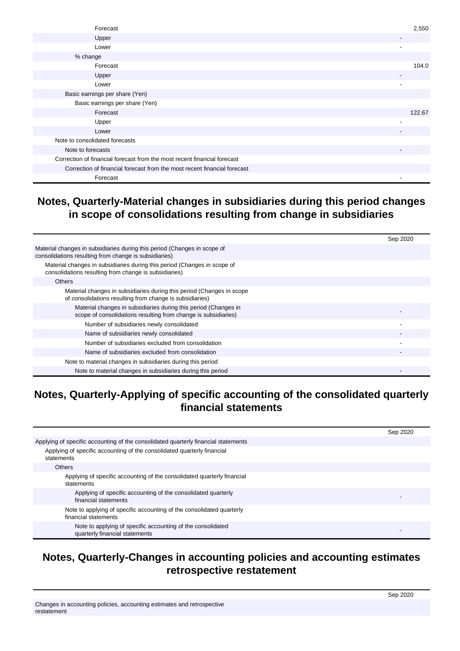| Forecast                                                                 | 2,550                    |
|--------------------------------------------------------------------------|--------------------------|
| Upper                                                                    |                          |
| Lower                                                                    |                          |
| % change                                                                 |                          |
| Forecast                                                                 | 104.0                    |
| Upper                                                                    |                          |
| Lower                                                                    | $\overline{\phantom{a}}$ |
| Basic earnings per share (Yen)                                           |                          |
| Basic earnings per share (Yen)                                           |                          |
| Forecast                                                                 | 122.67                   |
| Upper                                                                    |                          |
| Lower                                                                    | $\overline{\phantom{a}}$ |
| Note to consolidated forecasts                                           |                          |
| Note to forecasts                                                        |                          |
| Correction of financial forecast from the most recent financial forecast |                          |
| Correction of financial forecast from the most recent financial forecast |                          |
| Forecast                                                                 |                          |

#### **Notes, Quarterly-Material changes in subsidiaries during this period changes in scope of consolidations resulting from change in subsidiaries**

|                                                                                                                                   | Sep 2020 |
|-----------------------------------------------------------------------------------------------------------------------------------|----------|
| Material changes in subsidiaries during this period (Changes in scope of<br>consolidations resulting from change is subsidiaries) |          |
| Material changes in subsidiaries during this period (Changes in scope of<br>consolidations resulting from change is subsidiaries) |          |
| <b>Others</b>                                                                                                                     |          |
| Material changes in subsidiaries during this period (Changes in scope<br>of consolidations resulting from change is subsidiaries) |          |
| Material changes in subsidiaries during this period (Changes in<br>scope of consolidations resulting from change is subsidiaries) |          |
| Number of subsidiaries newly consolidated                                                                                         |          |
| Name of subsidiaries newly consolidated                                                                                           |          |
| Number of subsidiaries excluded from consolidation                                                                                |          |
| Name of subsidiaries excluded from consolidation                                                                                  |          |
| Note to material changes in subsidiaries during this period                                                                       |          |
| Note to material changes in subsidiaries during this period                                                                       |          |

### **Notes, Quarterly-Applying of specific accounting of the consolidated quarterly financial statements**

|                                                                                               | Sep 2020 |
|-----------------------------------------------------------------------------------------------|----------|
| Applying of specific accounting of the consolidated quarterly financial statements            |          |
| Applying of specific accounting of the consolidated quarterly financial<br>statements         |          |
| <b>Others</b>                                                                                 |          |
| Applying of specific accounting of the consolidated quarterly financial<br>statements         |          |
| Applying of specific accounting of the consolidated quarterly<br>financial statements         |          |
| Note to applying of specific accounting of the consolidated quarterly<br>financial statements |          |
| Note to applying of specific accounting of the consolidated<br>quarterly financial statements |          |

#### **Notes, Quarterly-Changes in accounting policies and accounting estimates retrospective restatement**